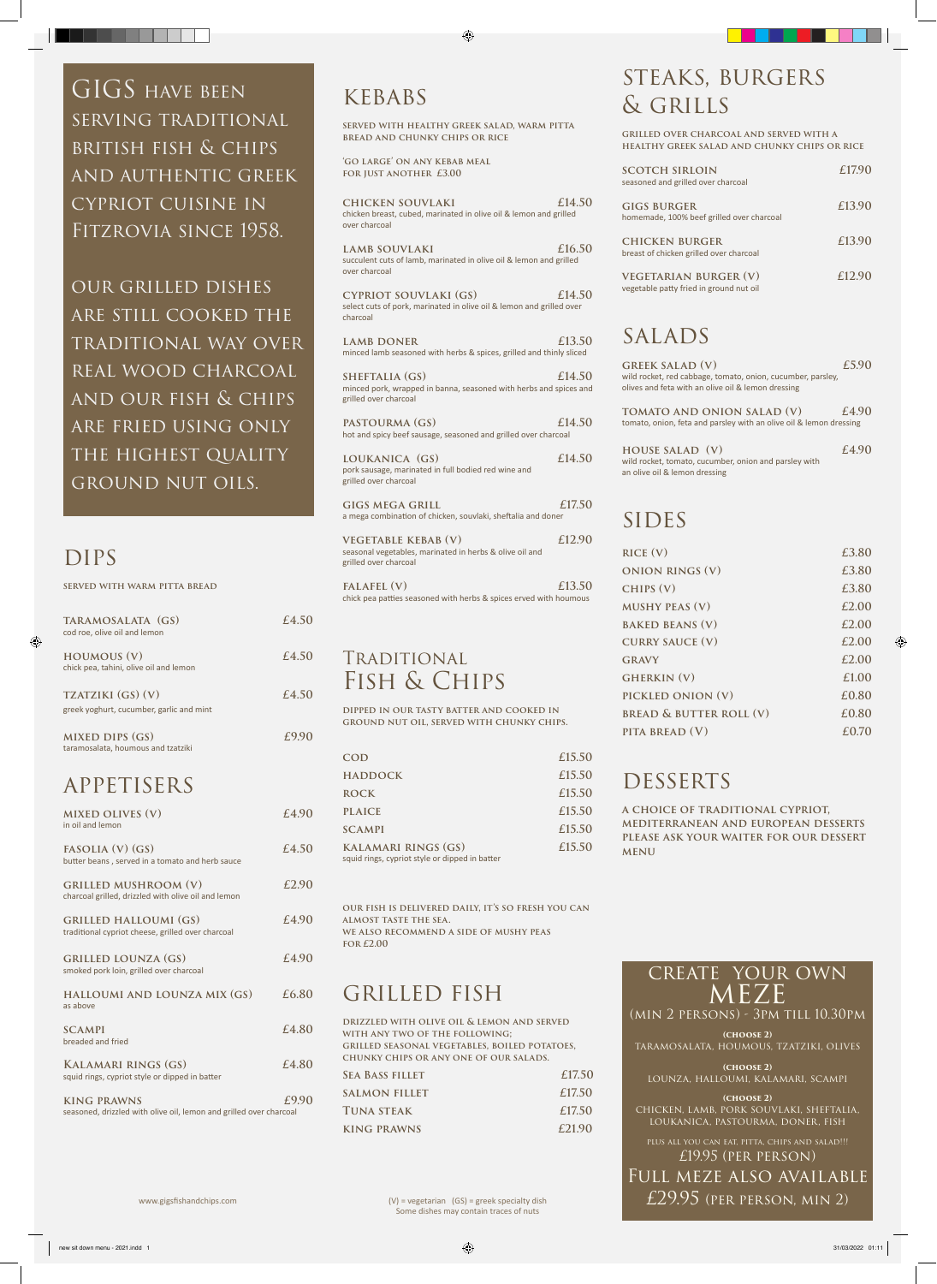create your own MEZE (min 2 persons) - 3pm till 10.30pm

**(choose 2)** taramosalata, houmous, tzatziki, olives

**(choose 2)** lounza, halloumi, kalamari, scampi

**(choose 2)** chicken, lamb, pork souvlaki, sheftalia, loukanica, pastourma, doner, fish

plus all you can eat, pitta, chips and salad!!! £19.95 (per person) Full meze also available £29.95 (per person, min 2)

**served with warm pitta bread**

#### GRILLED LOUNZA (GS)  $£4.90$ smoked pork loin, grilled over charcoal

| TARAMOSALATA (GS)<br>cod roe, olive oil and lemon             | £4.50 |
|---------------------------------------------------------------|-------|
| <b>HOUMOUS (V)</b><br>chick pea, tahini, olive oil and lemon  | £4.50 |
| TZATZIKI (GS) (V)<br>greek yoghurt, cucumber, garlic and mint | £4.50 |
| <b>MIXED DIPS (GS)</b><br>taramosalata, houmous and tzatziki  | £9.90 |
| <b>APPETISERS</b>                                             |       |

LAMB SOUVLAKI  $£16.50$ succulent cuts of lamb, marinated in olive oil & lemon and grilled over charcoal

| <b>MIXED OLIVES (V)</b><br>in oil and lemon                                        | £4.90 |
|------------------------------------------------------------------------------------|-------|
| FASOLIA $(V)$ $(GS)$<br>butter beans, served in a tomato and herb sauce            | £4.50 |
| <b>GRILLED MUSHROOM (V)</b><br>charcoal grilled, drizzled with olive oil and lemon | £2.90 |
| <b>GRILLED HALLOUMI (GS)</b><br>traditional cypriot cheese, grilled over charcoal  | £4.90 |

LAMB DONER  $£13.50$ minced lamb seasoned with herbs & spices, grilled and thinly sliced

SHEFTALIA (GS)  $£14.50$ minced pork, wrapped in banna, seasoned with herbs and spices and grilled over charcoal

**PASTOURMA (GS)**  $£14.50$ hot and spicy beef sausage, seasoned and grilled over charcoal

**halloumi and lounza mix (gs) £6.80** as above

**scampi £4.80** breaded and fried

GIGS MEGA GRILL **E17.50** a mega combination of chicken, souvlaki, sheftalia and doner

**Kalamari rings (gs) £4.80** squid rings, cypriot style or dipped in batter

**king prawns £9.90** seasoned, drizzled with olive oil, lemon and grilled over charcoal

## kebabs

**served with healthy greek salad, warm pitta bread and chunky chips or rice**

**'go large' on any kebab meal for just another £3.00**

**chicken souvlaki £14.50** chicken breast, cubed, marinated in olive oil & lemon and grilled over charcoal

GIGS HAVE BEEN serving traditional british fish & chips and authentic greek cypriot cuisine in Fitzrovia since 1958.

> **cypriot souvlaki (gs) £14.50** select cuts of pork, marinated in olive oil & lemon and grilled over charcoal

> > **house salad (v)**  $£4.90$ wild rocket, tomato, cucumber, onion and parsley with an olive oil & lemon dressing

## SIDES

**loukanica (gs) £14.50** pork sausage, marinated in full bodied red wine and grilled over charcoal

| <b>VEGETABLE KEBAB (V)</b>                              | £12.90 |
|---------------------------------------------------------|--------|
| seasonal vegetables, marinated in herbs & olive oil and |        |
| grilled over charcoal                                   |        |
| TATATET (37)                                            | C12E   |

**falafel (v) £13.50** chick pea patties seasoned with herbs & spices erved with houmous

## Traditional Fish & Chips

**dipped in our tasty batter and cooked in ground nut oil, served with chunky chips.**

| COD                                                                          | £15.50 |
|------------------------------------------------------------------------------|--------|
| <b>HADDOCK</b>                                                               | £15.50 |
| <b>ROCK</b>                                                                  | £15.50 |
| <b>PLAICE</b>                                                                | £15.50 |
| <b>SCAMPI</b>                                                                | £15.50 |
| <b>KALAMARI RINGS (GS)</b><br>squid rings, cypriot style or dipped in batter | £15.50 |
|                                                                              |        |

**our fish is delivered daily, it's so fresh you can almost taste the sea. we also recommend a side of mushy peas for £2.00**

| DRIZZLED WITH OLIVE OIL & LEMON AND SERVED    |        |
|-----------------------------------------------|--------|
| WITH ANY TWO OF THE FOLLOWING;                |        |
| GRILLED SEASONAL VEGETABLES, BOILED POTATOES, |        |
| CHUNKY CHIPS OR ANY ONE OF OUR SALADS.        |        |
| <b>SEA BASS FILLET</b>                        | £17.50 |
| <b>SALMON FILLET</b>                          | £17.50 |
| <b>TUNA STEAK</b>                             | £17.50 |
| <b>KING PRAWNS</b>                            | £21.90 |

our grilled dishes are still cooked the traditional way over real wood charcoal and our fish & chips are fried using only THE HIGHEST QUALITY ground nut oils.

## DIPS

## steaks, burgers & grills

**grilled over charcoal and served with a healthy greek salad and chunky chips or rice**

| <b>SCOTCH SIRLOIN</b><br>seasoned and grilled over charcoal             | £17.90 |
|-------------------------------------------------------------------------|--------|
| <b>GIGS BURGER</b><br>homemade, 100% beef grilled over charcoal         | £13.90 |
| <b>CHICKEN BURGER</b><br>breast of chicken grilled over charcoal        | £13.90 |
| <b>VEGETARIAN BURGER (V)</b><br>vegetable patty fried in ground nut oil | £12.90 |

## salads

| <b>GREEK SALAD (V)</b>                                                                                            | £5.90 |
|-------------------------------------------------------------------------------------------------------------------|-------|
| wild rocket, red cabbage, tomato, onion, cucumber, parsley,<br>olives and feta with an olive oil & lemon dressing |       |
| TOMATO AND ONION SALAD (V)<br>tomato, onion, feta and parsley with an olive oil & lemon dressing                  | £4.90 |

| RICE (V)                           | £3.80 |
|------------------------------------|-------|
| <b>ONION RINGS (V)</b>             | £3.80 |
| CHIPS (V)                          | £3.80 |
| <b>MUSHY PEAS (V)</b>              | £2.00 |
| <b>BAKED BEANS (V)</b>             | £2.00 |
| <b>CURRY SAUCE (V)</b>             | £2.00 |
| <b>GRAVY</b>                       | £2.00 |
| <b>GHERKIN</b> (V)                 | £1.00 |
| PICKLED ONION (V)                  | £0.80 |
| <b>BREAD &amp; BUTTER ROLL (V)</b> | £0.80 |
| PITA BREAD (V)                     | £0.70 |

## **DESSERTS**

**a choice of traditional cypriot, mediterranean and european desserts please ask your waiter for our dessert menu** 

(V) = vegetarian (GS) = greek specialty dish Some dishes may contain traces of nuts

www.gigsfishandchips.com